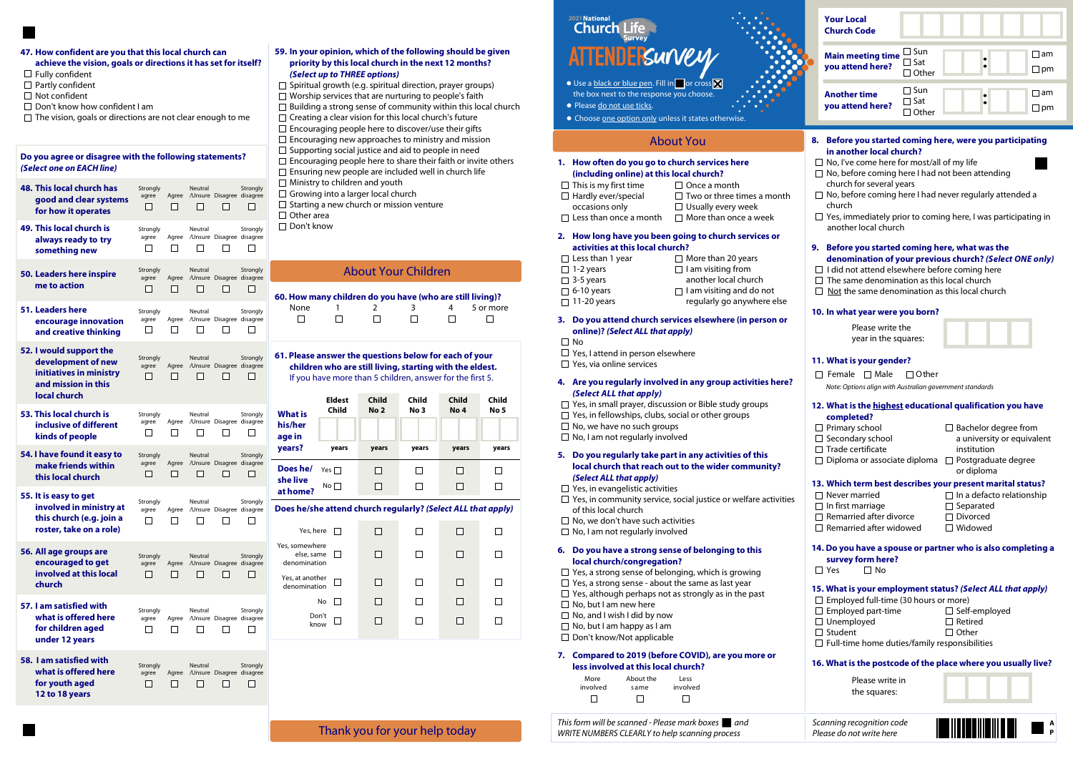# 59. In your opinion, which of the following should be given priority by this local church in the next 12 months? (Select up to THREE options)

 $\Box$  Spiritual growth (e.g. spiritual direction, prayer groups)  $\Box$  Worship services that are nurturing to people's faith  $\square$  Building a strong sense of community within this local church  $\Box$  Creating a clear vision for this local church's future  $\Box$  Encouraging people here to discover/use their gifts  $\Box$  Encouraging new approaches to ministry and mission  $\Box$  Supporting social justice and aid to people in need  $\square$  Encouraging people here to share their faith or invite others  $\square$  Ensuring new people are included well in church life  $\Box$  Ministry to children and youth  $\Box$  Growing into a larger local church  $\Box$  Starting a new church or mission venture  $\Box$  Other area □ Don't know

## 4. Are you regularly involved in any group activities here? (Select ALL that apply)

- $\Box$  Yes, in small prayer, discussion or Bible study groups
- $\Box$  Yes, in fellowships, clubs, social or other groups
- $\Box$  No, we have no such groups
- $\Box$  No, I am not regularly involved

# 6. Do you have a strong sense of belonging to this local church/congregation?

- $\Box$  Yes, a strong sense of belonging, which is growing
- $\Box$  Yes, a strong sense about the same as last year
- $\Box$  Yes, although perhaps not as strongly as in the past
- $\Box$  No, but I am new here
- □ No, and I wish I did by now
- $\Box$  No, but I am happy as I am
- □ Don't know/Not applicable

# 1. How often do you go to church services here (including online) at this local church?

- $\Box$  This is my first time  $\Box$  Once a month  $\Box$  Hardly ever/special  $\Box$  Two or three time  $\Box$  Two or three times a month occasions only  $\Box$  Usually every week  $\Box$  Less than once a month  $\Box$  More than once a week
- 2. How long have you been going to church services or activities at this local church?
- $\Box$  Less than 1 year  $\Box$  More than 20 years  $\Box$  6-10 years  $\Box$  I am visiting and do not  $\Box$  11-20 years regularly go anywhere else
- $\Box$  1-2 years  $\Box$  I am visiting from □ 3-5 years another local church
	-

### 5. Do you regularly take part in any activities of this local church that reach out to the wider community? (Select ALL that apply)

- $\Box$  Yes, in evangelistic activities
- $\Box$  Yes, in community service, social justice or welfare activities of this local church
- $\Box$  No, we don't have such activities
- $\Box$  No, I am not regularly involved

|                                                                                                                                                                                                                                                                                     | <b>Your Local</b><br><b>Church Code</b>                                                                                                                                                                                                                                                                   |                                          |  |                                                       |                                                                                         |  |                      |
|-------------------------------------------------------------------------------------------------------------------------------------------------------------------------------------------------------------------------------------------------------------------------------------|-----------------------------------------------------------------------------------------------------------------------------------------------------------------------------------------------------------------------------------------------------------------------------------------------------------|------------------------------------------|--|-------------------------------------------------------|-----------------------------------------------------------------------------------------|--|----------------------|
|                                                                                                                                                                                                                                                                                     | <b>Main meeting time</b><br>you attend here?                                                                                                                                                                                                                                                              | ⊿ Sun<br>$\exists$ Sat<br>1 Other        |  |                                                       |                                                                                         |  | l am<br>$\square$ pm |
|                                                                                                                                                                                                                                                                                     | <b>Another time</b><br>you attend here?                                                                                                                                                                                                                                                                   | $\Box$ Sun<br>$\Box$ Sat<br>$\Box$ Other |  |                                                       |                                                                                         |  | ∣am<br>$\square$ pm  |
|                                                                                                                                                                                                                                                                                     |                                                                                                                                                                                                                                                                                                           |                                          |  |                                                       |                                                                                         |  |                      |
| 8.                                                                                                                                                                                                                                                                                  | Before you started coming here, were you participating<br>in another local church?<br>$\Box$ No, I've come here for most/all of my life<br>$\Box$ No, before coming here I had not been attending<br>church for several years<br>$\Box$ No, before coming here I had never regularly attended a<br>church |                                          |  |                                                       |                                                                                         |  |                      |
|                                                                                                                                                                                                                                                                                     | $\Box$ Yes, immediately prior to coming here, I was participating in<br>another local church                                                                                                                                                                                                              |                                          |  |                                                       |                                                                                         |  |                      |
| Before you started coming here, what was the<br>9.<br>denomination of your previous church? (Select ONE only)<br>$\Box$ I did not attend elsewhere before coming here<br>$\Box$ The same denomination as this local church<br>$\Box$ Not the same denomination as this local church |                                                                                                                                                                                                                                                                                                           |                                          |  |                                                       |                                                                                         |  |                      |
|                                                                                                                                                                                                                                                                                     | 10. In what year were you born?                                                                                                                                                                                                                                                                           |                                          |  |                                                       |                                                                                         |  |                      |
|                                                                                                                                                                                                                                                                                     | Please write the<br>year in the squares:                                                                                                                                                                                                                                                                  |                                          |  |                                                       |                                                                                         |  |                      |
|                                                                                                                                                                                                                                                                                     | 11. What is your gender?<br>$\Box$ Female<br>$\Box$ Male<br>Note: Options align with Australian government standards                                                                                                                                                                                      | $\Box$ Other                             |  |                                                       |                                                                                         |  |                      |
|                                                                                                                                                                                                                                                                                     | 12. What is the <u>highest</u> educational qualification you have<br>completed?                                                                                                                                                                                                                           |                                          |  |                                                       |                                                                                         |  |                      |
|                                                                                                                                                                                                                                                                                     | $\Box$ Primary school<br>□ Secondary school<br>$\Box$ Trade certificate<br>□ Diploma or associate diploma                                                                                                                                                                                                 |                                          |  | institution<br>or diploma                             | $\Box$ Bachelor degree from<br>a university or equivalent<br>$\Box$ Postgraduate degree |  |                      |
|                                                                                                                                                                                                                                                                                     | 13. Which term best describes your present marital status?<br>$\Box$ Never married<br>$\Box$ In first marriage<br>$\Box$ Remarried after divorce<br>$\Box$ Remarried after widowed                                                                                                                        |                                          |  | $\Box$ Separated<br>$\Box$ Divorced<br>$\Box$ Widowed | $\Box$ In a defacto relationship                                                        |  |                      |
|                                                                                                                                                                                                                                                                                     | 14. Do you have a spouse or partner who is also completing a<br>survey form here?<br>$\Box$ Yes<br>$\Box$ No                                                                                                                                                                                              |                                          |  |                                                       |                                                                                         |  |                      |
|                                                                                                                                                                                                                                                                                     | 15. What is your employment status? (Select ALL that apply)<br>$\Box$ Employed full-time (30 hours or more)<br>$\Box$ Employed part-time<br>$\Box$ Unemployed<br>$\Box$ Student<br>$\Box$ Full-time home duties/family responsibilities                                                                   |                                          |  | $\Box$ Retired<br>$\Box$ Other                        | $\Box$ Self-employed                                                                    |  |                      |
|                                                                                                                                                                                                                                                                                     | 16. What is the postcode of the place where you usually live?                                                                                                                                                                                                                                             |                                          |  |                                                       |                                                                                         |  |                      |
|                                                                                                                                                                                                                                                                                     | Please write in<br>the squares:                                                                                                                                                                                                                                                                           |                                          |  |                                                       |                                                                                         |  |                      |

# 61. Please answer the questions below for each of your children who are still living, starting with the eldest. If you have more than 5 children, answer for the first 5.

Eldest Child Child Child Child

# 60. How many children do you have (who are still living)?

| None | . . | . . |  | <br>5 or more |
|------|-----|-----|--|---------------|
|      |     |     |  |               |

#### 3. Do you attend church services elsewhere (in person or online)? (Select ALL that apply)

- $\Box$  No
- $\Box$  Yes, I attend in person elsewhere
- $\Box$  Yes, via online services

# 7. Compared to 2019 (before COVID), are you more or less involved at this local church?

| More         | About the | Less     |
|--------------|-----------|----------|
| involved     | same      | involved |
| $\mathbf{1}$ |           |          |

This form will be scanned - Please mark boxes  $\Box$  and  $\Box$  Scanning recognition code WRITE NUMBERS CLEARLY to help scanning process Please do not write here



# About Your Children

| Yes, here $\Box$                             |              |  |  |
|----------------------------------------------|--------------|--|--|
| Yes, somewhere<br>else, same<br>denomination | $\mathbf{L}$ |  |  |
| Yes, at another<br>denomination              |              |  |  |
| No                                           |              |  |  |
| Don't<br>know                                |              |  |  |
|                                              |              |  |  |

# 2021 National **Church Li**

- $\bullet$  Use a <u>black or blue pen</u>. Fill in **g** or cross  $\boxtimes$ the box next to the response you choose.
- Please do not use ticks.
- Choose one option only unless it states otherwise.

# About You

# Do you agree or disagree with the following statements? (Select one on EACH line)

| <b>What is</b><br>his/her<br>age in | Child      | No 2  | No 3         | No 4  | No 5         |
|-------------------------------------|------------|-------|--------------|-------|--------------|
| years?                              | years      | years | years        | years | years        |
| Does he/                            | Yes $\Box$ |       |              |       |              |
| she live<br>at home?                | $No \Box$  |       | $\mathbf{I}$ | 1. p  | $\mathbf{r}$ |

| 48. This local church has<br>good and clear systems<br>for how it operates                                      | Strongly<br>agree | Agree       | Neutral        | /Unsure Disagree disagree | Strongly |
|-----------------------------------------------------------------------------------------------------------------|-------------------|-------------|----------------|---------------------------|----------|
| 49. This local church is<br>always ready to try<br>something new                                                | Strongly<br>agree | Agree       | Neutral        | /Unsure Disagree disagree | Strongly |
| 50. Leaders here inspire<br>me to action                                                                        | Strongly<br>agree | Agree       | Neutral        | /Unsure Disagree disagree | Strongly |
| 51. Leaders here<br>encourage innovation<br>and creative thinking                                               | Strongly<br>agree | Agree       | Neutral        | /Unsure Disagree disagree | Strongly |
| 52. I would support the<br>development of new<br>initiatives in ministry<br>and mission in this<br>local church | Strongly<br>agree | Agree       | Neutral        | /Unsure Disagree disagree | Strongly |
| 53. This local church is<br>inclusive of different<br>kinds of people                                           | Strongly<br>agree | Agree       | Neutral        | /Unsure Disagree disagree | Strongly |
| 54. I have found it easy to<br>make friends within<br>this local church                                         | Strongly<br>agree | Agree<br>ΙI | Neutral        | /Unsure Disagree disagree | Strongly |
| 55. It is easy to get<br>involved in ministry at<br>this church (e.g. join a<br>roster, take on a role)         | Strongly<br>agree | Agree       | Neutral        | /Unsure Disagree disagree | Strongly |
| 56. All age groups are<br>encouraged to get<br>involved at this local<br>church                                 | Strongly<br>agree | Agree       | Neutral        | /Unsure Disagree disagree | Strongly |
| 57. I am satisfied with<br>what is offered here<br>for children aged<br>under 12 years                          | Strongly<br>agree | Agree       | Neutral        | /Unsure Disagree disagree | Strongly |
| 58. I am satisfied with<br>what is offered here<br>for youth aged<br>12 to 18 years                             | Strongly<br>agree | Agree       | <b>Neutral</b> | /Unsure Disagree disagree | Strongly |

#### 47. How confident are you that this local church can achieve the vision, goals or directions it has set for itself?

- $\Box$  Fully confident
- $\Box$  Partly confident
- □ Not confident
- □ Don't know how confident I am
- $\square$  The vision, goals or directions are not clear enough to me

# Does he/she attend church regularly? (Select ALL that apply)